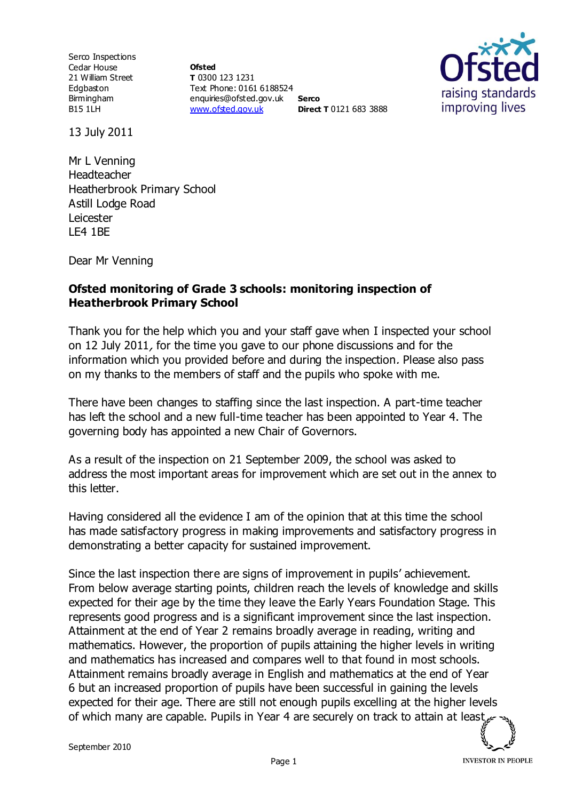Serco Inspections Cedar House 21 William Street Edgbaston Birmingham B15 1LH

**Ofsted T** 0300 123 1231 Text Phone: 0161 6188524 enquiries@ofsted.gov.uk **Serco** [www.ofsted.gov.uk](http://www.ofsted.gov.uk/) **Direct T** 0121 683 3888



13 July 2011

Mr L Venning Headteacher Heatherbrook Primary School Astill Lodge Road Leicester LE4 1BE

Dear Mr Venning

## **Ofsted monitoring of Grade 3 schools: monitoring inspection of Heatherbrook Primary School**

Thank you for the help which you and your staff gave when I inspected your school on 12 July 2011, for the time you gave to our phone discussions and for the information which you provided before and during the inspection. Please also pass on my thanks to the members of staff and the pupils who spoke with me.

There have been changes to staffing since the last inspection. A part-time teacher has left the school and a new full-time teacher has been appointed to Year 4. The governing body has appointed a new Chair of Governors.

As a result of the inspection on 21 September 2009, the school was asked to address the most important areas for improvement which are set out in the annex to this letter.

Having considered all the evidence I am of the opinion that at this time the school has made satisfactory progress in making improvements and satisfactory progress in demonstrating a better capacity for sustained improvement.

Since the last inspection there are signs of improvement in pupils' achievement. From below average starting points, children reach the levels of knowledge and skills expected for their age by the time they leave the Early Years Foundation Stage. This represents good progress and is a significant improvement since the last inspection. Attainment at the end of Year 2 remains broadly average in reading, writing and mathematics. However, the proportion of pupils attaining the higher levels in writing and mathematics has increased and compares well to that found in most schools. Attainment remains broadly average in English and mathematics at the end of Year 6 but an increased proportion of pupils have been successful in gaining the levels expected for their age. There are still not enough pupils excelling at the higher levels of which many are capable. Pupils in Year 4 are securely on track to attain at least

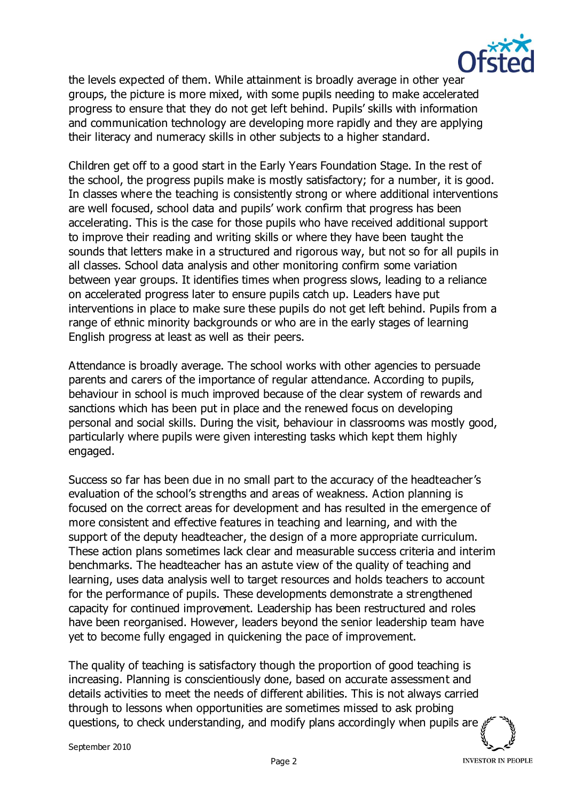

the levels expected of them. While attainment is broadly average in other year groups, the picture is more mixed, with some pupils needing to make accelerated progress to ensure that they do not get left behind. Pupils' skills with information and communication technology are developing more rapidly and they are applying their literacy and numeracy skills in other subjects to a higher standard.

Children get off to a good start in the Early Years Foundation Stage. In the rest of the school, the progress pupils make is mostly satisfactory; for a number, it is good. In classes where the teaching is consistently strong or where additional interventions are well focused, school data and pupils' work confirm that progress has been accelerating. This is the case for those pupils who have received additional support to improve their reading and writing skills or where they have been taught the sounds that letters make in a structured and rigorous way, but not so for all pupils in all classes. School data analysis and other monitoring confirm some variation between year groups. It identifies times when progress slows, leading to a reliance on accelerated progress later to ensure pupils catch up. Leaders have put interventions in place to make sure these pupils do not get left behind. Pupils from a range of ethnic minority backgrounds or who are in the early stages of learning English progress at least as well as their peers.

Attendance is broadly average. The school works with other agencies to persuade parents and carers of the importance of regular attendance. According to pupils, behaviour in school is much improved because of the clear system of rewards and sanctions which has been put in place and the renewed focus on developing personal and social skills. During the visit, behaviour in classrooms was mostly good, particularly where pupils were given interesting tasks which kept them highly engaged.

Success so far has been due in no small part to the accuracy of the headteacher's evaluation of the school's strengths and areas of weakness. Action planning is focused on the correct areas for development and has resulted in the emergence of more consistent and effective features in teaching and learning, and with the support of the deputy headteacher, the design of a more appropriate curriculum. These action plans sometimes lack clear and measurable success criteria and interim benchmarks. The headteacher has an astute view of the quality of teaching and learning, uses data analysis well to target resources and holds teachers to account for the performance of pupils. These developments demonstrate a strengthened capacity for continued improvement. Leadership has been restructured and roles have been reorganised. However, leaders beyond the senior leadership team have yet to become fully engaged in quickening the pace of improvement.

The quality of teaching is satisfactory though the proportion of good teaching is increasing. Planning is conscientiously done, based on accurate assessment and details activities to meet the needs of different abilities. This is not always carried through to lessons when opportunities are sometimes missed to ask probing questions, to check understanding, and modify plans accordingly when pupils are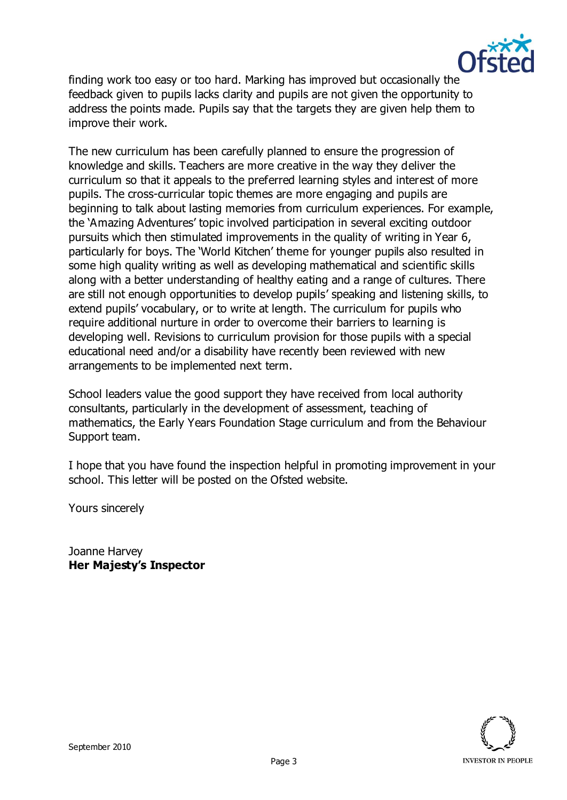

finding work too easy or too hard. Marking has improved but occasionally the feedback given to pupils lacks clarity and pupils are not given the opportunity to address the points made. Pupils say that the targets they are given help them to improve their work.

The new curriculum has been carefully planned to ensure the progression of knowledge and skills. Teachers are more creative in the way they deliver the curriculum so that it appeals to the preferred learning styles and interest of more pupils. The cross-curricular topic themes are more engaging and pupils are beginning to talk about lasting memories from curriculum experiences. For example, the 'Amazing Adventures' topic involved participation in several exciting outdoor pursuits which then stimulated improvements in the quality of writing in Year 6, particularly for boys. The 'World Kitchen' theme for younger pupils also resulted in some high quality writing as well as developing mathematical and scientific skills along with a better understanding of healthy eating and a range of cultures. There are still not enough opportunities to develop pupils' speaking and listening skills, to extend pupils' vocabulary, or to write at length. The curriculum for pupils who require additional nurture in order to overcome their barriers to learning is developing well. Revisions to curriculum provision for those pupils with a special educational need and/or a disability have recently been reviewed with new arrangements to be implemented next term.

School leaders value the good support they have received from local authority consultants, particularly in the development of assessment, teaching of mathematics, the Early Years Foundation Stage curriculum and from the Behaviour Support team.

I hope that you have found the inspection helpful in promoting improvement in your school. This letter will be posted on the Ofsted website.

Yours sincerely

Joanne Harvey **Her Majesty's Inspector**